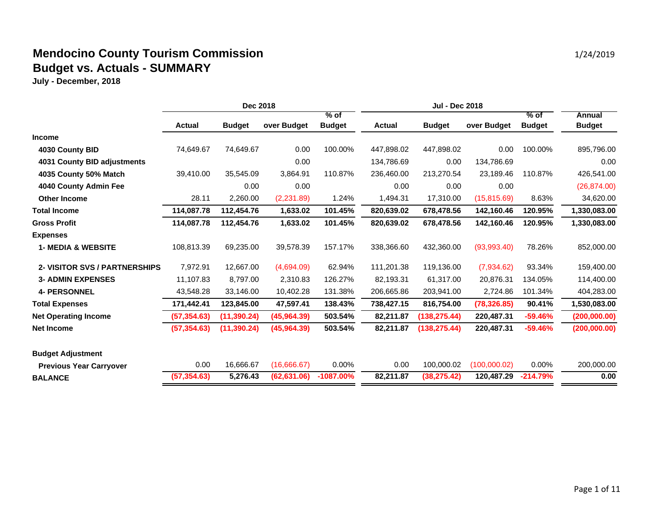|                                      | Dec 2018     |               |              | <b>Jul - Dec 2018</b> |               |               |              |               |               |
|--------------------------------------|--------------|---------------|--------------|-----------------------|---------------|---------------|--------------|---------------|---------------|
|                                      |              |               |              | $%$ of                |               |               |              | $%$ of        | Annual        |
|                                      | Actual       | <b>Budget</b> | over Budget  | <b>Budget</b>         | <b>Actual</b> | <b>Budget</b> | over Budget  | <b>Budget</b> | <b>Budget</b> |
| Income                               |              |               |              |                       |               |               |              |               |               |
| 4030 County BID                      | 74,649.67    | 74,649.67     | 0.00         | 100.00%               | 447.898.02    | 447.898.02    | 0.00         | 100.00%       | 895,796.00    |
| 4031 County BID adjustments          |              |               | 0.00         |                       | 134,786.69    | 0.00          | 134,786.69   |               | 0.00          |
| 4035 County 50% Match                | 39,410.00    | 35,545.09     | 3,864.91     | 110.87%               | 236,460.00    | 213,270.54    | 23,189.46    | 110.87%       | 426,541.00    |
| 4040 County Admin Fee                |              | 0.00          | 0.00         |                       | 0.00          | 0.00          | 0.00         |               | (26, 874.00)  |
| <b>Other Income</b>                  | 28.11        | 2,260.00      | (2,231.89)   | 1.24%                 | 1,494.31      | 17,310.00     | (15, 815.69) | 8.63%         | 34,620.00     |
| <b>Total Income</b>                  | 114,087.78   | 112,454.76    | 1,633.02     | 101.45%               | 820,639.02    | 678,478.56    | 142,160.46   | 120.95%       | 1,330,083.00  |
| <b>Gross Profit</b>                  | 114,087.78   | 112,454.76    | 1,633.02     | 101.45%               | 820,639.02    | 678,478.56    | 142,160.46   | 120.95%       | 1,330,083.00  |
| <b>Expenses</b>                      |              |               |              |                       |               |               |              |               |               |
| <b>1- MEDIA &amp; WEBSITE</b>        | 108,813.39   | 69,235.00     | 39,578.39    | 157.17%               | 338,366.60    | 432,360.00    | (93,993.40)  | 78.26%        | 852,000.00    |
| <b>2- VISITOR SVS / PARTNERSHIPS</b> | 7,972.91     | 12,667.00     | (4,694.09)   | 62.94%                | 111,201.38    | 119,136.00    | (7,934.62)   | 93.34%        | 159,400.00    |
| <b>3- ADMIN EXPENSES</b>             | 11,107.83    | 8,797.00      | 2,310.83     | 126.27%               | 82,193.31     | 61,317.00     | 20,876.31    | 134.05%       | 114,400.00    |
| <b>4- PERSONNEL</b>                  | 43,548.28    | 33,146.00     | 10,402.28    | 131.38%               | 206,665.86    | 203,941.00    | 2,724.86     | 101.34%       | 404,283.00    |
| <b>Total Expenses</b>                | 171,442.41   | 123,845.00    | 47,597.41    | 138.43%               | 738,427.15    | 816,754.00    | (78, 326.85) | 90.41%        | 1,530,083.00  |
| <b>Net Operating Income</b>          | (57, 354.63) | (11, 390.24)  | (45,964.39)  | 503.54%               | 82,211.87     | (138, 275.44) | 220,487.31   | $-59.46%$     | (200,000.00)  |
| <b>Net Income</b>                    | (57, 354.63) | (11, 390.24)  | (45,964.39)  | 503.54%               | 82,211.87     | (138, 275.44) | 220,487.31   | $-59.46%$     | (200,000.00)  |
| <b>Budget Adjustment</b>             |              |               |              |                       |               |               |              |               |               |
| <b>Previous Year Carryover</b>       | 0.00         | 16,666.67     | (16,666.67)  | 0.00%                 | 0.00          | 100,000.02    | (100,000.02) | 0.00%         | 200,000.00    |
| <b>BALANCE</b>                       | (57, 354.63) | 5,276.43      | (62, 631.06) | $-1087.00%$           | 82,211.87     | (38, 275.42)  | 120,487.29   | $-214.79%$    | 0.00          |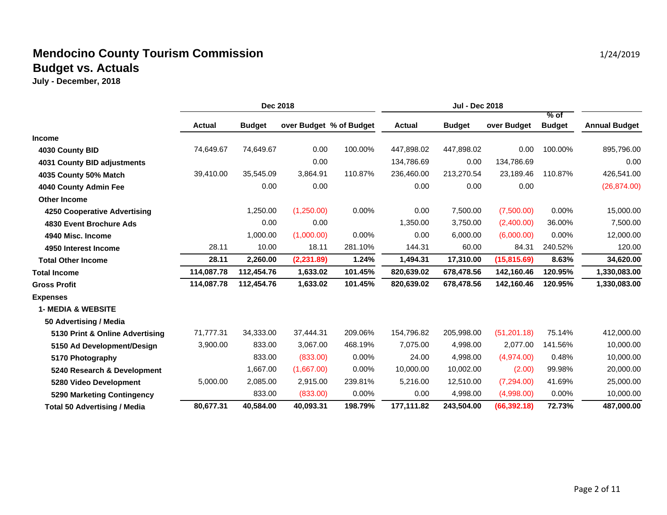|                                     | Dec 2018      |               |                         | Jul - Dec 2018 |               |               |              |                         |                      |
|-------------------------------------|---------------|---------------|-------------------------|----------------|---------------|---------------|--------------|-------------------------|----------------------|
|                                     | <b>Actual</b> | <b>Budget</b> | over Budget % of Budget |                | <b>Actual</b> | <b>Budget</b> | over Budget  | $%$ of<br><b>Budget</b> | <b>Annual Budget</b> |
| <b>Income</b>                       |               |               |                         |                |               |               |              |                         |                      |
| 4030 County BID                     | 74,649.67     | 74,649.67     | 0.00                    | 100.00%        | 447,898.02    | 447,898.02    | 0.00         | 100.00%                 | 895,796.00           |
| 4031 County BID adjustments         |               |               | 0.00                    |                | 134,786.69    | 0.00          | 134,786.69   |                         | 0.00                 |
| 4035 County 50% Match               | 39,410.00     | 35,545.09     | 3,864.91                | 110.87%        | 236,460.00    | 213,270.54    | 23,189.46    | 110.87%                 | 426,541.00           |
| 4040 County Admin Fee               |               | 0.00          | 0.00                    |                | 0.00          | 0.00          | 0.00         |                         | (26, 874.00)         |
| <b>Other Income</b>                 |               |               |                         |                |               |               |              |                         |                      |
| 4250 Cooperative Advertising        |               | 1,250.00      | (1,250.00)              | 0.00%          | 0.00          | 7,500.00      | (7,500.00)   | $0.00\%$                | 15,000.00            |
| 4830 Event Brochure Ads             |               | 0.00          | 0.00                    |                | 1,350.00      | 3,750.00      | (2,400.00)   | 36.00%                  | 7,500.00             |
| 4940 Misc. Income                   |               | 1.000.00      | (1,000.00)              | 0.00%          | 0.00          | 6,000.00      | (6,000.00)   | $0.00\%$                | 12,000.00            |
| 4950 Interest Income                | 28.11         | 10.00         | 18.11                   | 281.10%        | 144.31        | 60.00         | 84.31        | 240.52%                 | 120.00               |
| <b>Total Other Income</b>           | 28.11         | 2.260.00      | (2, 231.89)             | 1.24%          | 1,494.31      | 17,310.00     | (15, 815.69) | 8.63%                   | 34,620.00            |
| <b>Total Income</b>                 | 114,087.78    | 112,454.76    | 1,633.02                | 101.45%        | 820,639.02    | 678,478.56    | 142,160.46   | 120.95%                 | 1,330,083.00         |
| <b>Gross Profit</b>                 | 114,087.78    | 112,454.76    | 1,633.02                | 101.45%        | 820,639.02    | 678,478.56    | 142,160.46   | 120.95%                 | 1,330,083.00         |
| <b>Expenses</b>                     |               |               |                         |                |               |               |              |                         |                      |
| <b>1- MEDIA &amp; WEBSITE</b>       |               |               |                         |                |               |               |              |                         |                      |
| 50 Advertising / Media              |               |               |                         |                |               |               |              |                         |                      |
| 5130 Print & Online Advertising     | 71,777.31     | 34,333.00     | 37,444.31               | 209.06%        | 154,796.82    | 205,998.00    | (51, 201.18) | 75.14%                  | 412,000.00           |
| 5150 Ad Development/Design          | 3,900.00      | 833.00        | 3,067.00                | 468.19%        | 7,075.00      | 4,998.00      | 2,077.00     | 141.56%                 | 10,000.00            |
| 5170 Photography                    |               | 833.00        | (833.00)                | 0.00%          | 24.00         | 4,998.00      | (4,974.00)   | 0.48%                   | 10,000.00            |
| 5240 Research & Development         |               | 1,667.00      | (1,667.00)              | 0.00%          | 10,000.00     | 10,002.00     | (2.00)       | 99.98%                  | 20,000.00            |
| 5280 Video Development              | 5,000.00      | 2,085.00      | 2,915.00                | 239.81%        | 5,216.00      | 12,510.00     | (7,294.00)   | 41.69%                  | 25,000.00            |
| 5290 Marketing Contingency          |               | 833.00        | (833.00)                | 0.00%          | 0.00          | 4,998.00      | (4,998.00)   | 0.00%                   | 10,000.00            |
| <b>Total 50 Advertising / Media</b> | 80,677.31     | 40,584.00     | 40.093.31               | 198.79%        | 177,111.82    | 243,504.00    | (66, 392.18) | 72.73%                  | 487,000.00           |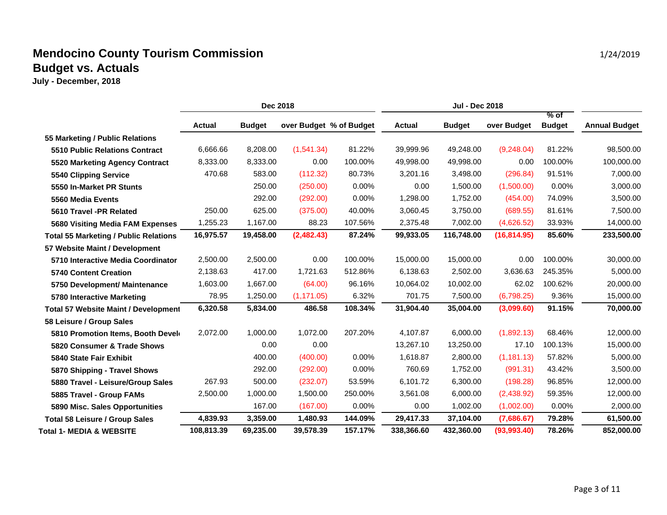|                                              | Dec 2018      |               |             | <b>Jul - Dec 2018</b>   |               |               |              |                         |                      |
|----------------------------------------------|---------------|---------------|-------------|-------------------------|---------------|---------------|--------------|-------------------------|----------------------|
|                                              | <b>Actual</b> | <b>Budget</b> |             | over Budget % of Budget | <b>Actual</b> | <b>Budget</b> | over Budget  | $%$ of<br><b>Budget</b> | <b>Annual Budget</b> |
| 55 Marketing / Public Relations              |               |               |             |                         |               |               |              |                         |                      |
| <b>5510 Public Relations Contract</b>        | 6,666.66      | 8,208.00      | (1,541.34)  | 81.22%                  | 39,999.96     | 49,248.00     | (9,248.04)   | 81.22%                  | 98,500.00            |
| 5520 Marketing Agency Contract               | 8,333.00      | 8,333.00      | 0.00        | 100.00%                 | 49,998.00     | 49,998.00     | 0.00         | 100.00%                 | 100,000.00           |
| 5540 Clipping Service                        | 470.68        | 583.00        | (112.32)    | 80.73%                  | 3,201.16      | 3,498.00      | (296.84)     | 91.51%                  | 7,000.00             |
| 5550 In-Market PR Stunts                     |               | 250.00        | (250.00)    | 0.00%                   | 0.00          | 1,500.00      | (1,500.00)   | 0.00%                   | 3,000.00             |
| 5560 Media Events                            |               | 292.00        | (292.00)    | 0.00%                   | 1,298.00      | 1,752.00      | (454.00)     | 74.09%                  | 3,500.00             |
| 5610 Travel -PR Related                      | 250.00        | 625.00        | (375.00)    | 40.00%                  | 3,060.45      | 3,750.00      | (689.55)     | 81.61%                  | 7,500.00             |
| 5680 Visiting Media FAM Expenses             | 1,255.23      | 1,167.00      | 88.23       | 107.56%                 | 2,375.48      | 7,002.00      | (4,626.52)   | 33.93%                  | 14,000.00            |
| <b>Total 55 Marketing / Public Relations</b> | 16,975.57     | 19,458.00     | (2,482.43)  | 87.24%                  | 99,933.05     | 116,748.00    | (16, 814.95) | 85.60%                  | 233,500.00           |
| 57 Website Maint / Development               |               |               |             |                         |               |               |              |                         |                      |
| 5710 Interactive Media Coordinator           | 2,500.00      | 2,500.00      | 0.00        | 100.00%                 | 15,000.00     | 15,000.00     | 0.00         | 100.00%                 | 30,000.00            |
| <b>5740 Content Creation</b>                 | 2,138.63      | 417.00        | 1,721.63    | 512.86%                 | 6,138.63      | 2,502.00      | 3,636.63     | 245.35%                 | 5,000.00             |
| 5750 Development/ Maintenance                | 1,603.00      | 1,667.00      | (64.00)     | 96.16%                  | 10,064.02     | 10,002.00     | 62.02        | 100.62%                 | 20,000.00            |
| 5780 Interactive Marketing                   | 78.95         | 1,250.00      | (1, 171.05) | 6.32%                   | 701.75        | 7,500.00      | (6,798.25)   | 9.36%                   | 15,000.00            |
| <b>Total 57 Website Maint / Development</b>  | 6,320.58      | 5,834.00      | 486.58      | 108.34%                 | 31,904.40     | 35,004.00     | (3,099.60)   | 91.15%                  | 70,000.00            |
| 58 Leisure / Group Sales                     |               |               |             |                         |               |               |              |                         |                      |
| 5810 Promotion Items, Booth Develo           | 2,072.00      | 1,000.00      | 1,072.00    | 207.20%                 | 4,107.87      | 6,000.00      | (1,892.13)   | 68.46%                  | 12,000.00            |
| 5820 Consumer & Trade Shows                  |               | 0.00          | 0.00        |                         | 13,267.10     | 13,250.00     | 17.10        | 100.13%                 | 15,000.00            |
| 5840 State Fair Exhibit                      |               | 400.00        | (400.00)    | 0.00%                   | 1,618.87      | 2,800.00      | (1, 181.13)  | 57.82%                  | 5,000.00             |
| 5870 Shipping - Travel Shows                 |               | 292.00        | (292.00)    | 0.00%                   | 760.69        | 1,752.00      | (991.31)     | 43.42%                  | 3,500.00             |
| 5880 Travel - Leisure/Group Sales            | 267.93        | 500.00        | (232.07)    | 53.59%                  | 6,101.72      | 6,300.00      | (198.28)     | 96.85%                  | 12,000.00            |
| 5885 Travel - Group FAMs                     | 2,500.00      | 1,000.00      | 1,500.00    | 250.00%                 | 3,561.08      | 6,000.00      | (2,438.92)   | 59.35%                  | 12,000.00            |
| 5890 Misc. Sales Opportunities               |               | 167.00        | (167.00)    | 0.00%                   | 0.00          | 1,002.00      | (1,002.00)   | 0.00%                   | 2,000.00             |
| <b>Total 58 Leisure / Group Sales</b>        | 4,839.93      | 3,359.00      | 1,480.93    | 144.09%                 | 29,417.33     | 37,104.00     | (7,686.67)   | 79.28%                  | 61,500.00            |
| <b>Total 1- MEDIA &amp; WEBSITE</b>          | 108.813.39    | 69.235.00     | 39,578.39   | 157.17%                 | 338.366.60    | 432,360.00    | (93,993.40)  | 78.26%                  | 852,000.00           |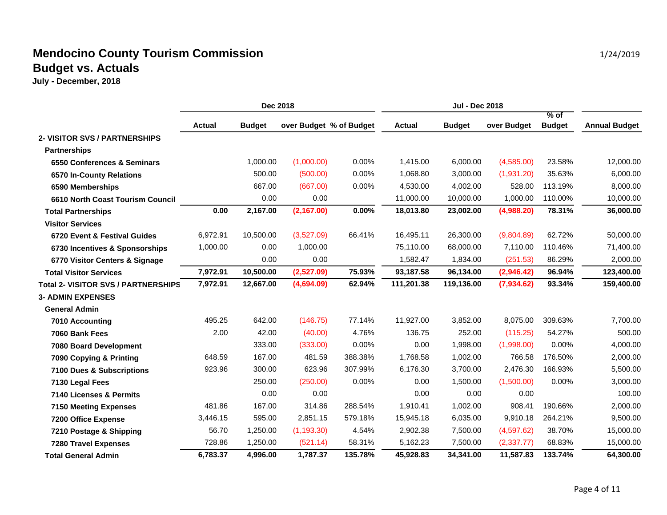|                                            | Dec 2018      |               |                         | <b>Jul - Dec 2018</b> |               |               |             |                         |                      |
|--------------------------------------------|---------------|---------------|-------------------------|-----------------------|---------------|---------------|-------------|-------------------------|----------------------|
|                                            | <b>Actual</b> | <b>Budget</b> | over Budget % of Budget |                       | <b>Actual</b> | <b>Budget</b> | over Budget | $%$ of<br><b>Budget</b> | <b>Annual Budget</b> |
| 2- VISITOR SVS / PARTNERSHIPS              |               |               |                         |                       |               |               |             |                         |                      |
| <b>Partnerships</b>                        |               |               |                         |                       |               |               |             |                         |                      |
| 6550 Conferences & Seminars                |               | 1,000.00      | (1,000.00)              | 0.00%                 | 1,415.00      | 6,000.00      | (4,585.00)  | 23.58%                  | 12,000.00            |
| 6570 In-County Relations                   |               | 500.00        | (500.00)                | 0.00%                 | 1,068.80      | 3,000.00      | (1,931.20)  | 35.63%                  | 6,000.00             |
| 6590 Memberships                           |               | 667.00        | (667.00)                | 0.00%                 | 4,530.00      | 4,002.00      | 528.00      | 113.19%                 | 8,000.00             |
| 6610 North Coast Tourism Council           |               | 0.00          | 0.00                    |                       | 11,000.00     | 10,000.00     | 1,000.00    | 110.00%                 | 10,000.00            |
| <b>Total Partnerships</b>                  | 0.00          | 2,167.00      | (2, 167.00)             | 0.00%                 | 18,013.80     | 23,002.00     | (4,988.20)  | 78.31%                  | 36,000.00            |
| <b>Visitor Services</b>                    |               |               |                         |                       |               |               |             |                         |                      |
| 6720 Event & Festival Guides               | 6,972.91      | 10,500.00     | (3,527.09)              | 66.41%                | 16,495.11     | 26,300.00     | (9,804.89)  | 62.72%                  | 50,000.00            |
| 6730 Incentives & Sponsorships             | 1,000.00      | 0.00          | 1,000.00                |                       | 75,110.00     | 68,000.00     | 7,110.00    | 110.46%                 | 71,400.00            |
| 6770 Visitor Centers & Signage             |               | 0.00          | 0.00                    |                       | 1,582.47      | 1,834.00      | (251.53)    | 86.29%                  | 2,000.00             |
| <b>Total Visitor Services</b>              | 7,972.91      | 10,500.00     | (2,527.09)              | 75.93%                | 93,187.58     | 96,134.00     | (2,946.42)  | 96.94%                  | 123,400.00           |
| <b>Total 2- VISITOR SVS / PARTNERSHIPS</b> | 7,972.91      | 12,667.00     | (4,694.09)              | 62.94%                | 111,201.38    | 119,136.00    | (7,934.62)  | 93.34%                  | 159,400.00           |
| <b>3- ADMIN EXPENSES</b>                   |               |               |                         |                       |               |               |             |                         |                      |
| <b>General Admin</b>                       |               |               |                         |                       |               |               |             |                         |                      |
| 7010 Accounting                            | 495.25        | 642.00        | (146.75)                | 77.14%                | 11,927.00     | 3,852.00      | 8,075.00    | 309.63%                 | 7,700.00             |
| 7060 Bank Fees                             | 2.00          | 42.00         | (40.00)                 | 4.76%                 | 136.75        | 252.00        | (115.25)    | 54.27%                  | 500.00               |
| 7080 Board Development                     |               | 333.00        | (333.00)                | 0.00%                 | 0.00          | 1,998.00      | (1,998.00)  | 0.00%                   | 4,000.00             |
| 7090 Copying & Printing                    | 648.59        | 167.00        | 481.59                  | 388.38%               | 1,768.58      | 1,002.00      | 766.58      | 176.50%                 | 2,000.00             |
| 7100 Dues & Subscriptions                  | 923.96        | 300.00        | 623.96                  | 307.99%               | 6,176.30      | 3,700.00      | 2,476.30    | 166.93%                 | 5,500.00             |
| 7130 Legal Fees                            |               | 250.00        | (250.00)                | 0.00%                 | 0.00          | 1,500.00      | (1,500.00)  | 0.00%                   | 3,000.00             |
| 7140 Licenses & Permits                    |               | 0.00          | 0.00                    |                       | 0.00          | 0.00          | 0.00        |                         | 100.00               |
| <b>7150 Meeting Expenses</b>               | 481.86        | 167.00        | 314.86                  | 288.54%               | 1,910.41      | 1,002.00      | 908.41      | 190.66%                 | 2,000.00             |
| 7200 Office Expense                        | 3,446.15      | 595.00        | 2,851.15                | 579.18%               | 15,945.18     | 6,035.00      | 9,910.18    | 264.21%                 | 9,500.00             |
| 7210 Postage & Shipping                    | 56.70         | 1,250.00      | (1, 193.30)             | 4.54%                 | 2,902.38      | 7,500.00      | (4,597.62)  | 38.70%                  | 15,000.00            |
| <b>7280 Travel Expenses</b>                | 728.86        | 1,250.00      | (521.14)                | 58.31%                | 5,162.23      | 7,500.00      | (2,337.77)  | 68.83%                  | 15,000.00            |
| <b>Total General Admin</b>                 | 6,783.37      | 4,996.00      | 1,787.37                | 135.78%               | 45,928.83     | 34,341.00     | 11,587.83   | 133.74%                 | 64,300.00            |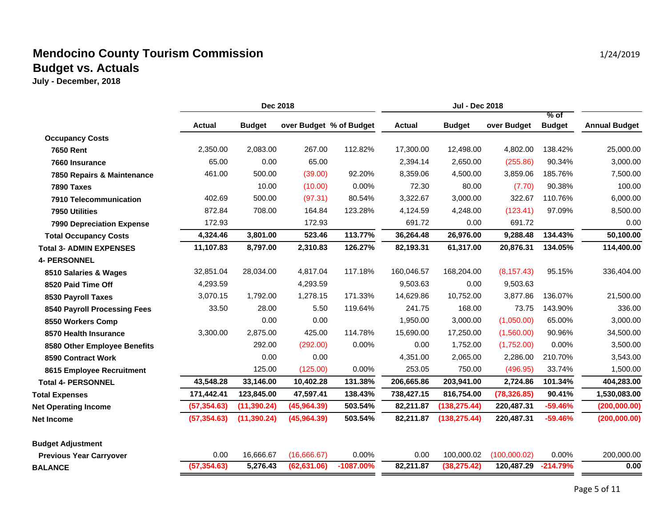|                                  | Dec 2018      |               |                         | <b>Jul - Dec 2018</b> |               |               |              |                         |                      |
|----------------------------------|---------------|---------------|-------------------------|-----------------------|---------------|---------------|--------------|-------------------------|----------------------|
|                                  | <b>Actual</b> | <b>Budget</b> | over Budget % of Budget |                       | <b>Actual</b> | <b>Budget</b> | over Budget  | $%$ of<br><b>Budget</b> | <b>Annual Budget</b> |
| <b>Occupancy Costs</b>           |               |               |                         |                       |               |               |              |                         |                      |
| <b>7650 Rent</b>                 | 2,350.00      | 2,083.00      | 267.00                  | 112.82%               | 17,300.00     | 12,498.00     | 4,802.00     | 138.42%                 | 25,000.00            |
| 7660 Insurance                   | 65.00         | 0.00          | 65.00                   |                       | 2,394.14      | 2,650.00      | (255.86)     | 90.34%                  | 3,000.00             |
| 7850 Repairs & Maintenance       | 461.00        | 500.00        | (39.00)                 | 92.20%                | 8,359.06      | 4,500.00      | 3,859.06     | 185.76%                 | 7,500.00             |
| 7890 Taxes                       |               | 10.00         | (10.00)                 | 0.00%                 | 72.30         | 80.00         | (7.70)       | 90.38%                  | 100.00               |
| 7910 Telecommunication           | 402.69        | 500.00        | (97.31)                 | 80.54%                | 3,322.67      | 3,000.00      | 322.67       | 110.76%                 | 6,000.00             |
| 7950 Utilities                   | 872.84        | 708.00        | 164.84                  | 123.28%               | 4,124.59      | 4,248.00      | (123.41)     | 97.09%                  | 8,500.00             |
| <b>7990 Depreciation Expense</b> | 172.93        |               | 172.93                  |                       | 691.72        | 0.00          | 691.72       |                         | 0.00                 |
| <b>Total Occupancy Costs</b>     | 4,324.46      | 3,801.00      | 523.46                  | 113.77%               | 36,264.48     | 26,976.00     | 9,288.48     | 134.43%                 | 50,100.00            |
| <b>Total 3- ADMIN EXPENSES</b>   | 11,107.83     | 8,797.00      | 2,310.83                | 126.27%               | 82,193.31     | 61,317.00     | 20,876.31    | 134.05%                 | 114,400.00           |
| <b>4- PERSONNEL</b>              |               |               |                         |                       |               |               |              |                         |                      |
| 8510 Salaries & Wages            | 32,851.04     | 28,034.00     | 4,817.04                | 117.18%               | 160,046.57    | 168,204.00    | (8, 157.43)  | 95.15%                  | 336,404.00           |
| 8520 Paid Time Off               | 4,293.59      |               | 4,293.59                |                       | 9,503.63      | 0.00          | 9,503.63     |                         |                      |
| 8530 Payroll Taxes               | 3,070.15      | 1,792.00      | 1,278.15                | 171.33%               | 14,629.86     | 10,752.00     | 3,877.86     | 136.07%                 | 21,500.00            |
| 8540 Payroll Processing Fees     | 33.50         | 28.00         | 5.50                    | 119.64%               | 241.75        | 168.00        | 73.75        | 143.90%                 | 336.00               |
| 8550 Workers Comp                |               | 0.00          | 0.00                    |                       | 1,950.00      | 3,000.00      | (1,050.00)   | 65.00%                  | 3,000.00             |
| 8570 Health Insurance            | 3,300.00      | 2,875.00      | 425.00                  | 114.78%               | 15,690.00     | 17,250.00     | (1,560.00)   | 90.96%                  | 34,500.00            |
| 8580 Other Employee Benefits     |               | 292.00        | (292.00)                | 0.00%                 | 0.00          | 1,752.00      | (1,752.00)   | 0.00%                   | 3,500.00             |
| 8590 Contract Work               |               | 0.00          | 0.00                    |                       | 4,351.00      | 2,065.00      | 2,286.00     | 210.70%                 | 3,543.00             |
| 8615 Employee Recruitment        |               | 125.00        | (125.00)                | 0.00%                 | 253.05        | 750.00        | (496.95)     | 33.74%                  | 1,500.00             |
| <b>Total 4- PERSONNEL</b>        | 43,548.28     | 33,146.00     | 10,402.28               | 131.38%               | 206,665.86    | 203,941.00    | 2,724.86     | 101.34%                 | 404,283.00           |
| <b>Total Expenses</b>            | 171,442.41    | 123,845.00    | 47,597.41               | 138.43%               | 738,427.15    | 816,754.00    | (78, 326.85) | 90.41%                  | 1,530,083.00         |
| <b>Net Operating Income</b>      | (57, 354.63)  | (11, 390.24)  | (45,964.39)             | 503.54%               | 82,211.87     | (138, 275.44) | 220,487.31   | $-59.46%$               | (200,000.00)         |
| <b>Net Income</b>                | (57, 354.63)  | (11, 390.24)  | (45,964.39)             | 503.54%               | 82,211.87     | (138, 275.44) | 220,487.31   | $-59.46%$               | (200,000.00)         |
| <b>Budget Adjustment</b>         |               |               |                         |                       |               |               |              |                         |                      |
| <b>Previous Year Carryover</b>   | 0.00          | 16,666.67     | (16,666.67)             | 0.00%                 | 0.00          | 100,000.02    | (100,000.02) | 0.00%                   | 200,000.00           |
| <b>BALANCE</b>                   | (57, 354.63)  | 5,276.43      | (62, 631.06)            | $-1087.00%$           | 82,211.87     | (38, 275.42)  | 120,487.29   | $-214.79%$              | 0.00                 |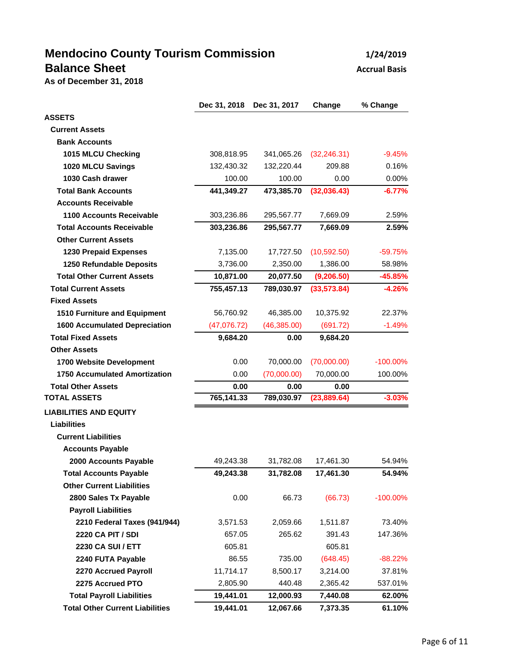# **Mendocino County Tourism Commission 1/24/2019 Balance Sheet Accrual Basis Accrual Basis**

**As of December 31, 2018**

|                                        | Dec 31, 2018 | Dec 31, 2017 | Change       | % Change    |
|----------------------------------------|--------------|--------------|--------------|-------------|
| <b>ASSETS</b>                          |              |              |              |             |
| <b>Current Assets</b>                  |              |              |              |             |
| <b>Bank Accounts</b>                   |              |              |              |             |
| 1015 MLCU Checking                     | 308,818.95   | 341,065.26   | (32, 246.31) | $-9.45%$    |
| 1020 MLCU Savings                      | 132,430.32   | 132,220.44   | 209.88       | 0.16%       |
| 1030 Cash drawer                       | 100.00       | 100.00       | 0.00         | 0.00%       |
| <b>Total Bank Accounts</b>             | 441,349.27   | 473,385.70   | (32,036.43)  | $-6.77%$    |
| <b>Accounts Receivable</b>             |              |              |              |             |
| 1100 Accounts Receivable               | 303,236.86   | 295,567.77   | 7,669.09     | 2.59%       |
| <b>Total Accounts Receivable</b>       | 303,236.86   | 295,567.77   | 7,669.09     | 2.59%       |
| <b>Other Current Assets</b>            |              |              |              |             |
| <b>1230 Prepaid Expenses</b>           | 7,135.00     | 17,727.50    | (10, 592.50) | $-59.75%$   |
| 1250 Refundable Deposits               | 3,736.00     | 2,350.00     | 1,386.00     | 58.98%      |
| <b>Total Other Current Assets</b>      | 10,871.00    | 20,077.50    | (9, 206.50)  | $-45.85%$   |
| <b>Total Current Assets</b>            | 755,457.13   | 789,030.97   | (33,573.84)  | $-4.26%$    |
| <b>Fixed Assets</b>                    |              |              |              |             |
| 1510 Furniture and Equipment           | 56,760.92    | 46,385.00    | 10,375.92    | 22.37%      |
| <b>1600 Accumulated Depreciation</b>   | (47,076.72)  | (46,385.00)  | (691.72)     | $-1.49%$    |
| <b>Total Fixed Assets</b>              | 9,684.20     | 0.00         | 9,684.20     |             |
| <b>Other Assets</b>                    |              |              |              |             |
| 1700 Website Development               | 0.00         | 70,000.00    | (70,000.00)  | $-100.00\%$ |
| <b>1750 Accumulated Amortization</b>   | 0.00         | (70,000.00)  | 70,000.00    | 100.00%     |
| <b>Total Other Assets</b>              | 0.00         | 0.00         | 0.00         |             |
| <b>TOTAL ASSETS</b>                    | 765,141.33   | 789,030.97   | (23,889.64)  | $-3.03%$    |
| <b>LIABILITIES AND EQUITY</b>          |              |              |              |             |
| <b>Liabilities</b>                     |              |              |              |             |
| <b>Current Liabilities</b>             |              |              |              |             |
| <b>Accounts Payable</b>                |              |              |              |             |
| 2000 Accounts Payable                  | 49,243.38    | 31,782.08    | 17,461.30    | 54.94%      |
| <b>Total Accounts Payable</b>          | 49,243.38    | 31,782.08    | 17,461.30    | 54.94%      |
| <b>Other Current Liabilities</b>       |              |              |              |             |
| 2800 Sales Tx Payable                  | 0.00         | 66.73        | (66.73)      | $-100.00\%$ |
| <b>Payroll Liabilities</b>             |              |              |              |             |
| 2210 Federal Taxes (941/944)           | 3,571.53     | 2,059.66     | 1,511.87     | 73.40%      |
| <b>2220 CA PIT / SDI</b>               | 657.05       | 265.62       | 391.43       | 147.36%     |
| 2230 CA SUI / ETT                      | 605.81       |              | 605.81       |             |
| 2240 FUTA Payable                      | 86.55        | 735.00       | (648.45)     | $-88.22%$   |
| 2270 Accrued Payroll                   | 11,714.17    | 8,500.17     | 3,214.00     | 37.81%      |
| 2275 Accrued PTO                       | 2,805.90     | 440.48       | 2,365.42     | 537.01%     |
| <b>Total Payroll Liabilities</b>       | 19,441.01    | 12,000.93    | 7,440.08     | 62.00%      |
| <b>Total Other Current Liabilities</b> | 19,441.01    | 12,067.66    | 7,373.35     | 61.10%      |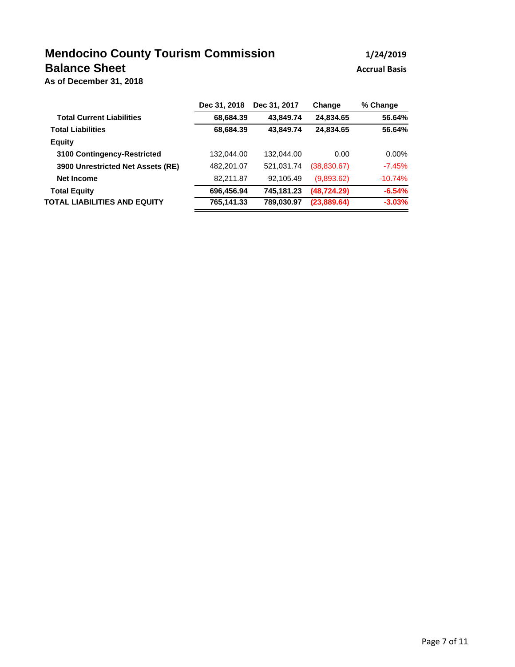## **Mendocino County Tourism Commission 1/24/2019 Balance Sheet Accrual Basis Accrual Basis**

**As of December 31, 2018**

|                                   | Dec 31, 2018 | Dec 31, 2017 | Change       | % Change  |
|-----------------------------------|--------------|--------------|--------------|-----------|
| <b>Total Current Liabilities</b>  | 68,684.39    | 43.849.74    | 24,834.65    | 56.64%    |
| <b>Total Liabilities</b>          | 68,684.39    | 43.849.74    | 24,834.65    | 56.64%    |
| <b>Equity</b>                     |              |              |              |           |
| 3100 Contingency-Restricted       | 132.044.00   | 132.044.00   | 0.00         | $0.00\%$  |
| 3900 Unrestricted Net Assets (RE) | 482,201.07   | 521.031.74   | (38,830.67)  | $-7.45\%$ |
| <b>Net Income</b>                 | 82,211.87    | 92.105.49    | (9,893.62)   | $-10.74%$ |
| <b>Total Equity</b>               | 696,456.94   | 745.181.23   | (48, 724.29) | $-6.54%$  |
| TOTAL LIABILITIES AND EQUITY      | 765,141.33   | 789,030.97   | (23,889.64)  | $-3.03%$  |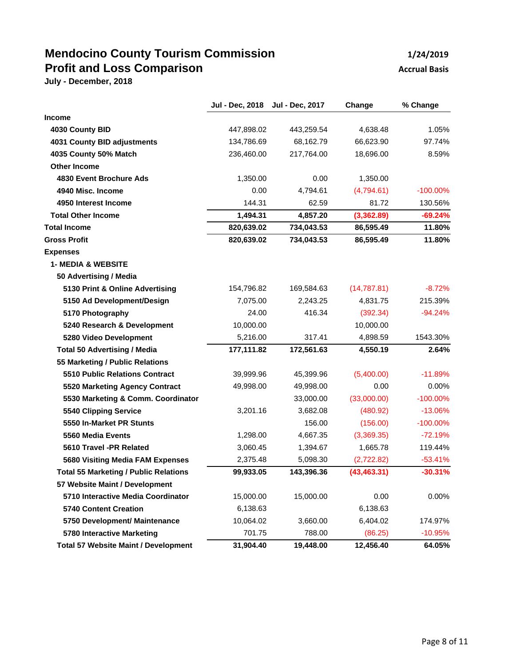## **Mendocino County Tourism Commission 1/24/2019 Profit and Loss Comparison Accrual Basis Accrual Basis**

|                                              | Jul - Dec, 2018 | Jul - Dec, 2017 | Change       | % Change    |
|----------------------------------------------|-----------------|-----------------|--------------|-------------|
| <b>Income</b>                                |                 |                 |              |             |
| 4030 County BID                              | 447,898.02      | 443,259.54      | 4,638.48     | 1.05%       |
| 4031 County BID adjustments                  | 134,786.69      | 68,162.79       | 66,623.90    | 97.74%      |
| 4035 County 50% Match                        | 236,460.00      | 217,764.00      | 18,696.00    | 8.59%       |
| <b>Other Income</b>                          |                 |                 |              |             |
| 4830 Event Brochure Ads                      | 1,350.00        | 0.00            | 1,350.00     |             |
| 4940 Misc. Income                            | 0.00            | 4,794.61        | (4,794.61)   | $-100.00\%$ |
| 4950 Interest Income                         | 144.31          | 62.59           | 81.72        | 130.56%     |
| <b>Total Other Income</b>                    | 1,494.31        | 4,857.20        | (3,362.89)   | $-69.24%$   |
| <b>Total Income</b>                          | 820,639.02      | 734,043.53      | 86,595.49    | 11.80%      |
| <b>Gross Profit</b>                          | 820,639.02      | 734,043.53      | 86,595.49    | 11.80%      |
| <b>Expenses</b>                              |                 |                 |              |             |
| <b>1- MEDIA &amp; WEBSITE</b>                |                 |                 |              |             |
| 50 Advertising / Media                       |                 |                 |              |             |
| 5130 Print & Online Advertising              | 154,796.82      | 169,584.63      | (14, 787.81) | $-8.72%$    |
| 5150 Ad Development/Design                   | 7,075.00        | 2,243.25        | 4,831.75     | 215.39%     |
| 5170 Photography                             | 24.00           | 416.34          | (392.34)     | $-94.24%$   |
| 5240 Research & Development                  | 10,000.00       |                 | 10,000.00    |             |
| 5280 Video Development                       | 5,216.00        | 317.41          | 4,898.59     | 1543.30%    |
| <b>Total 50 Advertising / Media</b>          | 177,111.82      | 172,561.63      | 4,550.19     | 2.64%       |
| 55 Marketing / Public Relations              |                 |                 |              |             |
| 5510 Public Relations Contract               | 39,999.96       | 45,399.96       | (5,400.00)   | $-11.89%$   |
| 5520 Marketing Agency Contract               | 49,998.00       | 49,998.00       | 0.00         | 0.00%       |
| 5530 Marketing & Comm. Coordinator           |                 | 33,000.00       | (33,000.00)  | $-100.00\%$ |
| 5540 Clipping Service                        | 3,201.16        | 3,682.08        | (480.92)     | $-13.06%$   |
| 5550 In-Market PR Stunts                     |                 | 156.00          | (156.00)     | $-100.00\%$ |
| 5560 Media Events                            | 1,298.00        | 4,667.35        | (3,369.35)   | $-72.19%$   |
| 5610 Travel -PR Related                      | 3,060.45        | 1,394.67        | 1,665.78     | 119.44%     |
| <b>5680 Visiting Media FAM Expenses</b>      | 2,375.48        | 5,098.30        | (2,722.82)   | $-53.41%$   |
| <b>Total 55 Marketing / Public Relations</b> | 99,933.05       | 143,396.36      | (43, 463.31) | $-30.31%$   |
| 57 Website Maint / Development               |                 |                 |              |             |
| 5710 Interactive Media Coordinator           | 15,000.00       | 15,000.00       | 0.00         | 0.00%       |
| <b>5740 Content Creation</b>                 | 6,138.63        |                 | 6,138.63     |             |
| 5750 Development/ Maintenance                | 10,064.02       | 3,660.00        | 6,404.02     | 174.97%     |
| 5780 Interactive Marketing                   | 701.75          | 788.00          | (86.25)      | $-10.95%$   |
| <b>Total 57 Website Maint / Development</b>  | 31,904.40       | 19,448.00       | 12,456.40    | 64.05%      |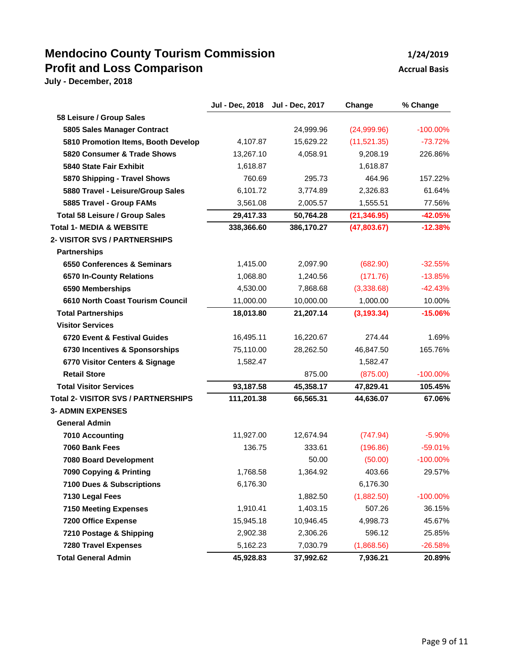## **Mendocino County Tourism Commission 1/24/2019 Profit and Loss Comparison Accrual Basis Accrual Basis**

|                                            | Jul - Dec, 2018 | Jul - Dec, 2017 | Change       | % Change    |
|--------------------------------------------|-----------------|-----------------|--------------|-------------|
| 58 Leisure / Group Sales                   |                 |                 |              |             |
| 5805 Sales Manager Contract                |                 | 24,999.96       | (24,999.96)  | $-100.00\%$ |
| 5810 Promotion Items, Booth Develop        | 4,107.87        | 15,629.22       | (11,521.35)  | $-73.72%$   |
| 5820 Consumer & Trade Shows                | 13,267.10       | 4,058.91        | 9,208.19     | 226.86%     |
| 5840 State Fair Exhibit                    | 1,618.87        |                 | 1,618.87     |             |
| 5870 Shipping - Travel Shows               | 760.69          | 295.73          | 464.96       | 157.22%     |
| 5880 Travel - Leisure/Group Sales          | 6,101.72        | 3,774.89        | 2,326.83     | 61.64%      |
| 5885 Travel - Group FAMs                   | 3,561.08        | 2,005.57        | 1,555.51     | 77.56%      |
| <b>Total 58 Leisure / Group Sales</b>      | 29,417.33       | 50,764.28       | (21, 346.95) | $-42.05%$   |
| <b>Total 1- MEDIA &amp; WEBSITE</b>        | 338,366.60      | 386,170.27      | (47,803.67)  | $-12.38%$   |
| 2- VISITOR SVS / PARTNERSHIPS              |                 |                 |              |             |
| <b>Partnerships</b>                        |                 |                 |              |             |
| 6550 Conferences & Seminars                | 1,415.00        | 2,097.90        | (682.90)     | $-32.55%$   |
| 6570 In-County Relations                   | 1.068.80        | 1.240.56        | (171.76)     | $-13.85%$   |
| 6590 Memberships                           | 4,530.00        | 7,868.68        | (3,338.68)   | $-42.43%$   |
| 6610 North Coast Tourism Council           | 11,000.00       | 10,000.00       | 1,000.00     | 10.00%      |
| <b>Total Partnerships</b>                  | 18,013.80       | 21,207.14       | (3, 193.34)  | $-15.06%$   |
| <b>Visitor Services</b>                    |                 |                 |              |             |
| 6720 Event & Festival Guides               | 16,495.11       | 16,220.67       | 274.44       | 1.69%       |
| 6730 Incentives & Sponsorships             | 75,110.00       | 28,262.50       | 46,847.50    | 165.76%     |
| 6770 Visitor Centers & Signage             | 1,582.47        |                 | 1,582.47     |             |
| <b>Retail Store</b>                        |                 | 875.00          | (875.00)     | $-100.00\%$ |
| <b>Total Visitor Services</b>              | 93,187.58       | 45,358.17       | 47,829.41    | 105.45%     |
| <b>Total 2- VISITOR SVS / PARTNERSHIPS</b> | 111,201.38      | 66,565.31       | 44,636.07    | 67.06%      |
| <b>3- ADMIN EXPENSES</b>                   |                 |                 |              |             |
| <b>General Admin</b>                       |                 |                 |              |             |
| 7010 Accounting                            | 11,927.00       | 12,674.94       | (747.94)     | $-5.90%$    |
| 7060 Bank Fees                             | 136.75          | 333.61          | (196.86)     | $-59.01%$   |
| 7080 Board Development                     |                 | 50.00           | (50.00)      | $-100.00\%$ |
| 7090 Copying & Printing                    | 1,768.58        | 1,364.92        | 403.66       | 29.57%      |
| <b>7100 Dues &amp; Subscriptions</b>       | 6,176.30        |                 | 6,176.30     |             |
| 7130 Legal Fees                            |                 | 1,882.50        | (1,882.50)   | $-100.00\%$ |
| <b>7150 Meeting Expenses</b>               | 1,910.41        | 1,403.15        | 507.26       | 36.15%      |
| 7200 Office Expense                        | 15,945.18       | 10,946.45       | 4,998.73     | 45.67%      |
| 7210 Postage & Shipping                    | 2,902.38        | 2,306.26        | 596.12       | 25.85%      |
| <b>7280 Travel Expenses</b>                | 5,162.23        | 7,030.79        | (1,868.56)   | $-26.58%$   |
| <b>Total General Admin</b>                 | 45,928.83       | 37,992.62       | 7,936.21     | 20.89%      |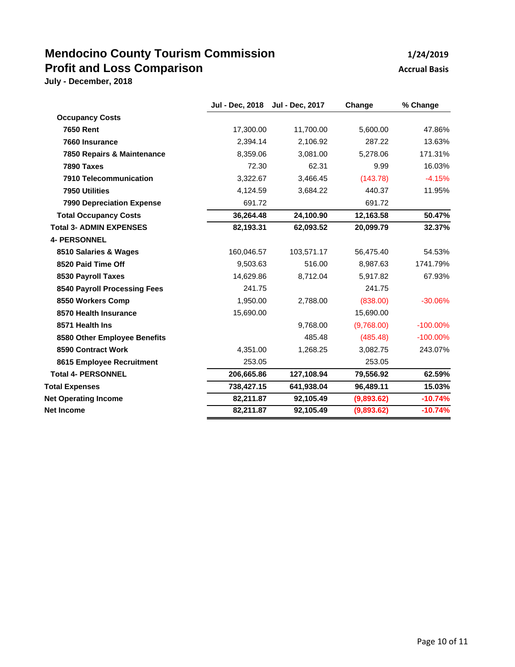## **Mendocino County Tourism Commission 1/24/2019 Profit and Loss Comparison Accrual Basis Accrual Basis**

|                                  | Jul - Dec, 2018 | Jul - Dec, 2017 | Change     | % Change    |
|----------------------------------|-----------------|-----------------|------------|-------------|
| <b>Occupancy Costs</b>           |                 |                 |            |             |
| <b>7650 Rent</b>                 | 17,300.00       | 11,700.00       | 5,600.00   | 47.86%      |
| 7660 Insurance                   | 2,394.14        | 2,106.92        | 287.22     | 13.63%      |
| 7850 Repairs & Maintenance       | 8,359.06        | 3,081.00        | 5,278.06   | 171.31%     |
| 7890 Taxes                       | 72.30           | 62.31           | 9.99       | 16.03%      |
| 7910 Telecommunication           | 3,322.67        | 3,466.45        | (143.78)   | $-4.15%$    |
| 7950 Utilities                   | 4,124.59        | 3,684.22        | 440.37     | 11.95%      |
| <b>7990 Depreciation Expense</b> | 691.72          |                 | 691.72     |             |
| <b>Total Occupancy Costs</b>     | 36,264.48       | 24,100.90       | 12,163.58  | 50.47%      |
| <b>Total 3- ADMIN EXPENSES</b>   | 82,193.31       | 62,093.52       | 20,099.79  | 32.37%      |
| <b>4- PERSONNEL</b>              |                 |                 |            |             |
| 8510 Salaries & Wages            | 160,046.57      | 103,571.17      | 56,475.40  | 54.53%      |
| 8520 Paid Time Off               | 9,503.63        | 516.00          | 8,987.63   | 1741.79%    |
| 8530 Payroll Taxes               | 14,629.86       | 8,712.04        | 5,917.82   | 67.93%      |
| 8540 Payroll Processing Fees     | 241.75          |                 | 241.75     |             |
| 8550 Workers Comp                | 1,950.00        | 2,788.00        | (838.00)   | $-30.06%$   |
| 8570 Health Insurance            | 15,690.00       |                 | 15.690.00  |             |
| 8571 Health Ins                  |                 | 9,768.00        | (9,768.00) | $-100.00\%$ |
| 8580 Other Employee Benefits     |                 | 485.48          | (485.48)   | $-100.00\%$ |
| 8590 Contract Work               | 4,351.00        | 1,268.25        | 3,082.75   | 243.07%     |
| 8615 Employee Recruitment        | 253.05          |                 | 253.05     |             |
| <b>Total 4- PERSONNEL</b>        | 206,665.86      | 127,108.94      | 79,556.92  | 62.59%      |
| <b>Total Expenses</b>            | 738,427.15      | 641.938.04      | 96,489.11  | 15.03%      |
| <b>Net Operating Income</b>      | 82,211.87       | 92,105.49       | (9,893.62) | $-10.74%$   |
| <b>Net Income</b>                | 82,211.87       | 92,105.49       | (9,893.62) | $-10.74%$   |